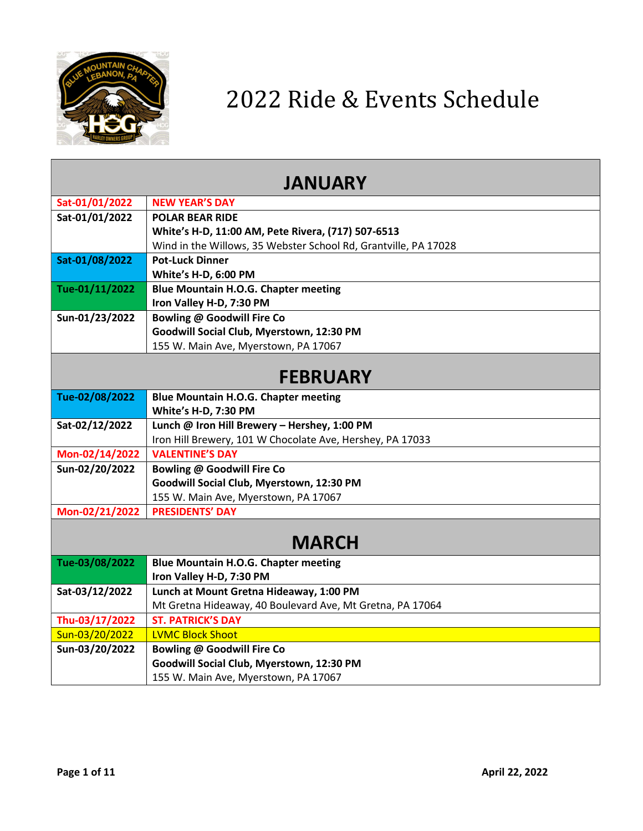

| <b>JANUARY</b> |                                                                         |
|----------------|-------------------------------------------------------------------------|
| Sat-01/01/2022 | <b>NEW YEAR'S DAY</b>                                                   |
| Sat-01/01/2022 | <b>POLAR BEAR RIDE</b>                                                  |
|                | White's H-D, 11:00 AM, Pete Rivera, (717) 507-6513                      |
|                | Wind in the Willows, 35 Webster School Rd, Grantville, PA 17028         |
| Sat-01/08/2022 | <b>Pot-Luck Dinner</b>                                                  |
|                | White's H-D, 6:00 PM                                                    |
| Tue-01/11/2022 | <b>Blue Mountain H.O.G. Chapter meeting</b>                             |
|                | Iron Valley H-D, 7:30 PM                                                |
| Sun-01/23/2022 | Bowling @ Goodwill Fire Co                                              |
|                | Goodwill Social Club, Myerstown, 12:30 PM                               |
|                | 155 W. Main Ave, Myerstown, PA 17067                                    |
|                |                                                                         |
|                | <b>FEBRUARY</b>                                                         |
| Tue-02/08/2022 | <b>Blue Mountain H.O.G. Chapter meeting</b>                             |
|                | White's H-D, 7:30 PM                                                    |
| Sat-02/12/2022 | Lunch @ Iron Hill Brewery - Hershey, 1:00 PM                            |
|                | Iron Hill Brewery, 101 W Chocolate Ave, Hershey, PA 17033               |
| Mon-02/14/2022 | <b>VALENTINE'S DAY</b>                                                  |
| Sun-02/20/2022 | Bowling @ Goodwill Fire Co                                              |
|                | Goodwill Social Club, Myerstown, 12:30 PM                               |
|                | 155 W. Main Ave, Myerstown, PA 17067                                    |
| Mon-02/21/2022 | <b>PRESIDENTS' DAY</b>                                                  |
|                | <b>MARCH</b>                                                            |
|                |                                                                         |
| Tue-03/08/2022 | <b>Blue Mountain H.O.G. Chapter meeting</b><br>Iron Valley H-D, 7:30 PM |
| Sat-03/12/2022 | Lunch at Mount Gretna Hideaway, 1:00 PM                                 |
|                | Mt Gretna Hideaway, 40 Boulevard Ave, Mt Gretna, PA 17064               |
| Thu-03/17/2022 | <b>ST. PATRICK'S DAY</b>                                                |
| Sun-03/20/2022 | <b>LVMC Block Shoot</b>                                                 |
| Sun-03/20/2022 | <b>Bowling @ Goodwill Fire Co</b>                                       |
|                | Goodwill Social Club, Myerstown, 12:30 PM                               |
|                | 155 W. Main Ave, Myerstown, PA 17067                                    |
|                |                                                                         |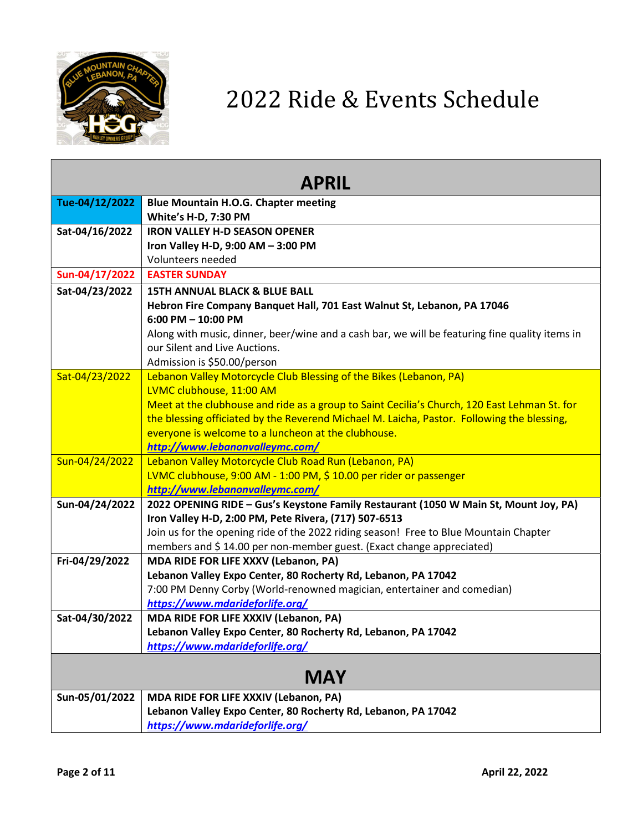

| Tue-04/12/2022<br><b>Blue Mountain H.O.G. Chapter meeting</b><br>White's H-D, 7:30 PM<br><b>IRON VALLEY H-D SEASON OPENER</b><br>Sat-04/16/2022<br>Iron Valley H-D, 9:00 AM - 3:00 PM<br>Volunteers needed<br>Sun-04/17/2022<br><b>EASTER SUNDAY</b><br>Sat-04/23/2022<br><b>15TH ANNUAL BLACK &amp; BLUE BALL</b><br>Hebron Fire Company Banquet Hall, 701 East Walnut St, Lebanon, PA 17046<br>$6:00$ PM $- 10:00$ PM<br>Along with music, dinner, beer/wine and a cash bar, we will be featuring fine quality items in<br>our Silent and Live Auctions.<br>Admission is \$50.00/person<br>Lebanon Valley Motorcycle Club Blessing of the Bikes (Lebanon, PA)<br>Sat-04/23/2022<br>LVMC clubhouse, 11:00 AM<br>Meet at the clubhouse and ride as a group to Saint Cecilia's Church, 120 East Lehman St. for<br>the blessing officiated by the Reverend Michael M. Laicha, Pastor. Following the blessing,<br>everyone is welcome to a luncheon at the clubhouse.<br>http://www.lebanonvalleymc.com/<br>Sun-04/24/2022<br>Lebanon Valley Motorcycle Club Road Run (Lebanon, PA)<br>LVMC clubhouse, 9:00 AM - 1:00 PM, \$ 10.00 per rider or passenger<br>http://www.lebanonvalleymc.com/<br>Sun-04/24/2022<br>2022 OPENING RIDE - Gus's Keystone Family Restaurant (1050 W Main St, Mount Joy, PA)<br>Iron Valley H-D, 2:00 PM, Pete Rivera, (717) 507-6513<br>Join us for the opening ride of the 2022 riding season! Free to Blue Mountain Chapter<br>members and \$14.00 per non-member guest. (Exact change appreciated)<br>Fri-04/29/2022<br>MDA RIDE FOR LIFE XXXV (Lebanon, PA)<br>Lebanon Valley Expo Center, 80 Rocherty Rd, Lebanon, PA 17042<br>7:00 PM Denny Corby (World-renowned magician, entertainer and comedian)<br>https://www.mdarideforlife.org/<br>Sat-04/30/2022<br><b>MDA RIDE FOR LIFE XXXIV (Lebanon, PA)</b><br>Lebanon Valley Expo Center, 80 Rocherty Rd, Lebanon, PA 17042<br>https://www.mdarideforlife.org/<br><b>MAY</b><br>Sun-05/01/2022<br>MDA RIDE FOR LIFE XXXIV (Lebanon, PA) | <b>APRIL</b> |  |
|-----------------------------------------------------------------------------------------------------------------------------------------------------------------------------------------------------------------------------------------------------------------------------------------------------------------------------------------------------------------------------------------------------------------------------------------------------------------------------------------------------------------------------------------------------------------------------------------------------------------------------------------------------------------------------------------------------------------------------------------------------------------------------------------------------------------------------------------------------------------------------------------------------------------------------------------------------------------------------------------------------------------------------------------------------------------------------------------------------------------------------------------------------------------------------------------------------------------------------------------------------------------------------------------------------------------------------------------------------------------------------------------------------------------------------------------------------------------------------------------------------------------------------------------------------------------------------------------------------------------------------------------------------------------------------------------------------------------------------------------------------------------------------------------------------------------------------------------------------------------------------------------------------------------------------------------------------------------------------------------------------------------------|--------------|--|
|                                                                                                                                                                                                                                                                                                                                                                                                                                                                                                                                                                                                                                                                                                                                                                                                                                                                                                                                                                                                                                                                                                                                                                                                                                                                                                                                                                                                                                                                                                                                                                                                                                                                                                                                                                                                                                                                                                                                                                                                                       |              |  |
|                                                                                                                                                                                                                                                                                                                                                                                                                                                                                                                                                                                                                                                                                                                                                                                                                                                                                                                                                                                                                                                                                                                                                                                                                                                                                                                                                                                                                                                                                                                                                                                                                                                                                                                                                                                                                                                                                                                                                                                                                       |              |  |
|                                                                                                                                                                                                                                                                                                                                                                                                                                                                                                                                                                                                                                                                                                                                                                                                                                                                                                                                                                                                                                                                                                                                                                                                                                                                                                                                                                                                                                                                                                                                                                                                                                                                                                                                                                                                                                                                                                                                                                                                                       |              |  |
|                                                                                                                                                                                                                                                                                                                                                                                                                                                                                                                                                                                                                                                                                                                                                                                                                                                                                                                                                                                                                                                                                                                                                                                                                                                                                                                                                                                                                                                                                                                                                                                                                                                                                                                                                                                                                                                                                                                                                                                                                       |              |  |
|                                                                                                                                                                                                                                                                                                                                                                                                                                                                                                                                                                                                                                                                                                                                                                                                                                                                                                                                                                                                                                                                                                                                                                                                                                                                                                                                                                                                                                                                                                                                                                                                                                                                                                                                                                                                                                                                                                                                                                                                                       |              |  |
|                                                                                                                                                                                                                                                                                                                                                                                                                                                                                                                                                                                                                                                                                                                                                                                                                                                                                                                                                                                                                                                                                                                                                                                                                                                                                                                                                                                                                                                                                                                                                                                                                                                                                                                                                                                                                                                                                                                                                                                                                       |              |  |
|                                                                                                                                                                                                                                                                                                                                                                                                                                                                                                                                                                                                                                                                                                                                                                                                                                                                                                                                                                                                                                                                                                                                                                                                                                                                                                                                                                                                                                                                                                                                                                                                                                                                                                                                                                                                                                                                                                                                                                                                                       |              |  |
|                                                                                                                                                                                                                                                                                                                                                                                                                                                                                                                                                                                                                                                                                                                                                                                                                                                                                                                                                                                                                                                                                                                                                                                                                                                                                                                                                                                                                                                                                                                                                                                                                                                                                                                                                                                                                                                                                                                                                                                                                       |              |  |
|                                                                                                                                                                                                                                                                                                                                                                                                                                                                                                                                                                                                                                                                                                                                                                                                                                                                                                                                                                                                                                                                                                                                                                                                                                                                                                                                                                                                                                                                                                                                                                                                                                                                                                                                                                                                                                                                                                                                                                                                                       |              |  |
|                                                                                                                                                                                                                                                                                                                                                                                                                                                                                                                                                                                                                                                                                                                                                                                                                                                                                                                                                                                                                                                                                                                                                                                                                                                                                                                                                                                                                                                                                                                                                                                                                                                                                                                                                                                                                                                                                                                                                                                                                       |              |  |
|                                                                                                                                                                                                                                                                                                                                                                                                                                                                                                                                                                                                                                                                                                                                                                                                                                                                                                                                                                                                                                                                                                                                                                                                                                                                                                                                                                                                                                                                                                                                                                                                                                                                                                                                                                                                                                                                                                                                                                                                                       |              |  |
|                                                                                                                                                                                                                                                                                                                                                                                                                                                                                                                                                                                                                                                                                                                                                                                                                                                                                                                                                                                                                                                                                                                                                                                                                                                                                                                                                                                                                                                                                                                                                                                                                                                                                                                                                                                                                                                                                                                                                                                                                       |              |  |
|                                                                                                                                                                                                                                                                                                                                                                                                                                                                                                                                                                                                                                                                                                                                                                                                                                                                                                                                                                                                                                                                                                                                                                                                                                                                                                                                                                                                                                                                                                                                                                                                                                                                                                                                                                                                                                                                                                                                                                                                                       |              |  |
|                                                                                                                                                                                                                                                                                                                                                                                                                                                                                                                                                                                                                                                                                                                                                                                                                                                                                                                                                                                                                                                                                                                                                                                                                                                                                                                                                                                                                                                                                                                                                                                                                                                                                                                                                                                                                                                                                                                                                                                                                       |              |  |
|                                                                                                                                                                                                                                                                                                                                                                                                                                                                                                                                                                                                                                                                                                                                                                                                                                                                                                                                                                                                                                                                                                                                                                                                                                                                                                                                                                                                                                                                                                                                                                                                                                                                                                                                                                                                                                                                                                                                                                                                                       |              |  |
|                                                                                                                                                                                                                                                                                                                                                                                                                                                                                                                                                                                                                                                                                                                                                                                                                                                                                                                                                                                                                                                                                                                                                                                                                                                                                                                                                                                                                                                                                                                                                                                                                                                                                                                                                                                                                                                                                                                                                                                                                       |              |  |
|                                                                                                                                                                                                                                                                                                                                                                                                                                                                                                                                                                                                                                                                                                                                                                                                                                                                                                                                                                                                                                                                                                                                                                                                                                                                                                                                                                                                                                                                                                                                                                                                                                                                                                                                                                                                                                                                                                                                                                                                                       |              |  |
|                                                                                                                                                                                                                                                                                                                                                                                                                                                                                                                                                                                                                                                                                                                                                                                                                                                                                                                                                                                                                                                                                                                                                                                                                                                                                                                                                                                                                                                                                                                                                                                                                                                                                                                                                                                                                                                                                                                                                                                                                       |              |  |
|                                                                                                                                                                                                                                                                                                                                                                                                                                                                                                                                                                                                                                                                                                                                                                                                                                                                                                                                                                                                                                                                                                                                                                                                                                                                                                                                                                                                                                                                                                                                                                                                                                                                                                                                                                                                                                                                                                                                                                                                                       |              |  |
|                                                                                                                                                                                                                                                                                                                                                                                                                                                                                                                                                                                                                                                                                                                                                                                                                                                                                                                                                                                                                                                                                                                                                                                                                                                                                                                                                                                                                                                                                                                                                                                                                                                                                                                                                                                                                                                                                                                                                                                                                       |              |  |
|                                                                                                                                                                                                                                                                                                                                                                                                                                                                                                                                                                                                                                                                                                                                                                                                                                                                                                                                                                                                                                                                                                                                                                                                                                                                                                                                                                                                                                                                                                                                                                                                                                                                                                                                                                                                                                                                                                                                                                                                                       |              |  |
|                                                                                                                                                                                                                                                                                                                                                                                                                                                                                                                                                                                                                                                                                                                                                                                                                                                                                                                                                                                                                                                                                                                                                                                                                                                                                                                                                                                                                                                                                                                                                                                                                                                                                                                                                                                                                                                                                                                                                                                                                       |              |  |
|                                                                                                                                                                                                                                                                                                                                                                                                                                                                                                                                                                                                                                                                                                                                                                                                                                                                                                                                                                                                                                                                                                                                                                                                                                                                                                                                                                                                                                                                                                                                                                                                                                                                                                                                                                                                                                                                                                                                                                                                                       |              |  |
|                                                                                                                                                                                                                                                                                                                                                                                                                                                                                                                                                                                                                                                                                                                                                                                                                                                                                                                                                                                                                                                                                                                                                                                                                                                                                                                                                                                                                                                                                                                                                                                                                                                                                                                                                                                                                                                                                                                                                                                                                       |              |  |
|                                                                                                                                                                                                                                                                                                                                                                                                                                                                                                                                                                                                                                                                                                                                                                                                                                                                                                                                                                                                                                                                                                                                                                                                                                                                                                                                                                                                                                                                                                                                                                                                                                                                                                                                                                                                                                                                                                                                                                                                                       |              |  |
|                                                                                                                                                                                                                                                                                                                                                                                                                                                                                                                                                                                                                                                                                                                                                                                                                                                                                                                                                                                                                                                                                                                                                                                                                                                                                                                                                                                                                                                                                                                                                                                                                                                                                                                                                                                                                                                                                                                                                                                                                       |              |  |
|                                                                                                                                                                                                                                                                                                                                                                                                                                                                                                                                                                                                                                                                                                                                                                                                                                                                                                                                                                                                                                                                                                                                                                                                                                                                                                                                                                                                                                                                                                                                                                                                                                                                                                                                                                                                                                                                                                                                                                                                                       |              |  |
|                                                                                                                                                                                                                                                                                                                                                                                                                                                                                                                                                                                                                                                                                                                                                                                                                                                                                                                                                                                                                                                                                                                                                                                                                                                                                                                                                                                                                                                                                                                                                                                                                                                                                                                                                                                                                                                                                                                                                                                                                       |              |  |
|                                                                                                                                                                                                                                                                                                                                                                                                                                                                                                                                                                                                                                                                                                                                                                                                                                                                                                                                                                                                                                                                                                                                                                                                                                                                                                                                                                                                                                                                                                                                                                                                                                                                                                                                                                                                                                                                                                                                                                                                                       |              |  |
|                                                                                                                                                                                                                                                                                                                                                                                                                                                                                                                                                                                                                                                                                                                                                                                                                                                                                                                                                                                                                                                                                                                                                                                                                                                                                                                                                                                                                                                                                                                                                                                                                                                                                                                                                                                                                                                                                                                                                                                                                       |              |  |
|                                                                                                                                                                                                                                                                                                                                                                                                                                                                                                                                                                                                                                                                                                                                                                                                                                                                                                                                                                                                                                                                                                                                                                                                                                                                                                                                                                                                                                                                                                                                                                                                                                                                                                                                                                                                                                                                                                                                                                                                                       |              |  |
|                                                                                                                                                                                                                                                                                                                                                                                                                                                                                                                                                                                                                                                                                                                                                                                                                                                                                                                                                                                                                                                                                                                                                                                                                                                                                                                                                                                                                                                                                                                                                                                                                                                                                                                                                                                                                                                                                                                                                                                                                       |              |  |
|                                                                                                                                                                                                                                                                                                                                                                                                                                                                                                                                                                                                                                                                                                                                                                                                                                                                                                                                                                                                                                                                                                                                                                                                                                                                                                                                                                                                                                                                                                                                                                                                                                                                                                                                                                                                                                                                                                                                                                                                                       |              |  |
| Lebanon Valley Expo Center, 80 Rocherty Rd, Lebanon, PA 17042                                                                                                                                                                                                                                                                                                                                                                                                                                                                                                                                                                                                                                                                                                                                                                                                                                                                                                                                                                                                                                                                                                                                                                                                                                                                                                                                                                                                                                                                                                                                                                                                                                                                                                                                                                                                                                                                                                                                                         |              |  |
| https://www.mdarideforlife.org/                                                                                                                                                                                                                                                                                                                                                                                                                                                                                                                                                                                                                                                                                                                                                                                                                                                                                                                                                                                                                                                                                                                                                                                                                                                                                                                                                                                                                                                                                                                                                                                                                                                                                                                                                                                                                                                                                                                                                                                       |              |  |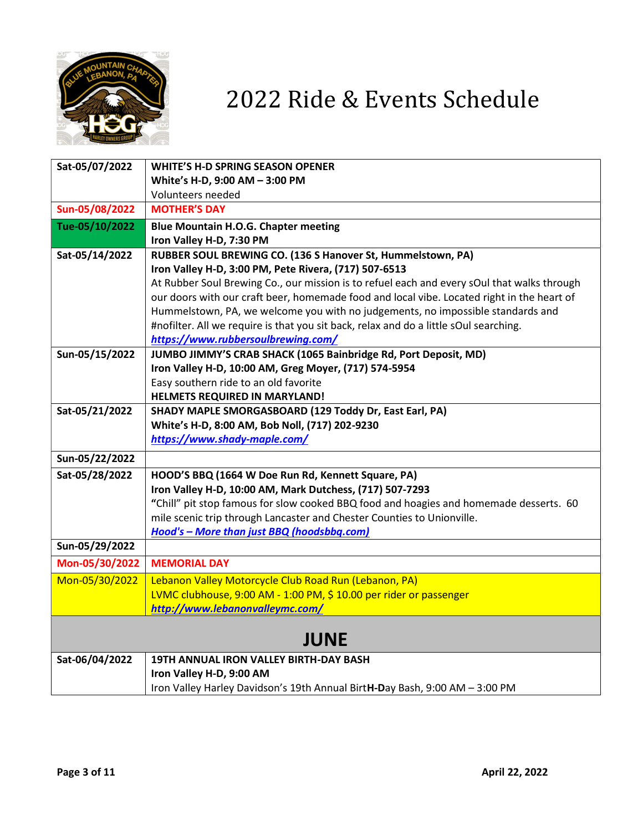

| Sat-05/07/2022 | <b>WHITE'S H-D SPRING SEASON OPENER</b>                                                     |
|----------------|---------------------------------------------------------------------------------------------|
|                |                                                                                             |
|                | White's H-D, 9:00 AM - 3:00 PM<br>Volunteers needed                                         |
| Sun-05/08/2022 | <b>MOTHER'S DAY</b>                                                                         |
|                |                                                                                             |
| Tue-05/10/2022 | <b>Blue Mountain H.O.G. Chapter meeting</b>                                                 |
|                | Iron Valley H-D, 7:30 PM                                                                    |
| Sat-05/14/2022 | RUBBER SOUL BREWING CO. (136 S Hanover St, Hummelstown, PA)                                 |
|                | Iron Valley H-D, 3:00 PM, Pete Rivera, (717) 507-6513                                       |
|                | At Rubber Soul Brewing Co., our mission is to refuel each and every sOul that walks through |
|                | our doors with our craft beer, homemade food and local vibe. Located right in the heart of  |
|                | Hummelstown, PA, we welcome you with no judgements, no impossible standards and             |
|                | #nofilter. All we require is that you sit back, relax and do a little sOul searching.       |
|                | https://www.rubbersoulbrewing.com/                                                          |
| Sun-05/15/2022 | JUMBO JIMMY'S CRAB SHACK (1065 Bainbridge Rd, Port Deposit, MD)                             |
|                | Iron Valley H-D, 10:00 AM, Greg Moyer, (717) 574-5954                                       |
|                | Easy southern ride to an old favorite                                                       |
|                | HELMETS REQUIRED IN MARYLAND!                                                               |
| Sat-05/21/2022 | SHADY MAPLE SMORGASBOARD (129 Toddy Dr, East Earl, PA)                                      |
|                | White's H-D, 8:00 AM, Bob Noll, (717) 202-9230                                              |
|                | https://www.shady-maple.com/                                                                |
| Sun-05/22/2022 |                                                                                             |
| Sat-05/28/2022 | HOOD'S BBQ (1664 W Doe Run Rd, Kennett Square, PA)                                          |
|                | Iron Valley H-D, 10:00 AM, Mark Dutchess, (717) 507-7293                                    |
|                | "Chill" pit stop famous for slow cooked BBQ food and hoagies and homemade desserts. 60      |
|                | mile scenic trip through Lancaster and Chester Counties to Unionville.                      |
|                | Hood's - More than just BBQ (hoodsbbq.com)                                                  |
| Sun-05/29/2022 |                                                                                             |
| Mon-05/30/2022 | <b>MEMORIAL DAY</b>                                                                         |
| Mon-05/30/2022 | Lebanon Valley Motorcycle Club Road Run (Lebanon, PA)                                       |
|                | LVMC clubhouse, 9:00 AM - 1:00 PM, \$ 10.00 per rider or passenger                          |
|                | http://www.lebanonvalleymc.com/                                                             |
|                |                                                                                             |
|                | <b>JUNE</b>                                                                                 |
| Sat-06/04/2022 | 19TH ANNUAL IRON VALLEY BIRTH-DAY BASH                                                      |
|                | Iron Valley H-D, 9:00 AM                                                                    |
|                | Iron Valley Harley Davidson's 19th Annual BirtH-Day Bash, 9:00 AM - 3:00 PM                 |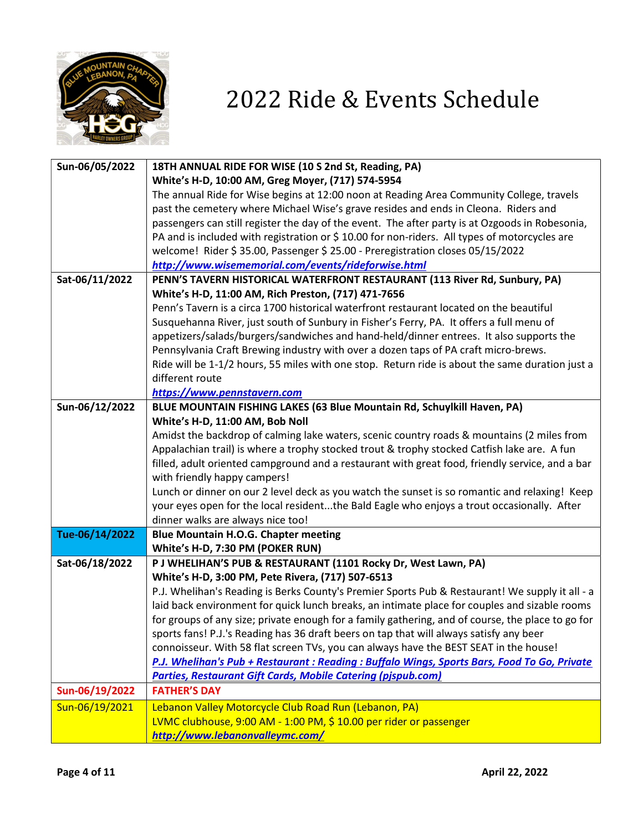

| Sun-06/05/2022 | 18TH ANNUAL RIDE FOR WISE (10 S 2nd St, Reading, PA)                                              |
|----------------|---------------------------------------------------------------------------------------------------|
|                | White's H-D, 10:00 AM, Greg Moyer, (717) 574-5954                                                 |
|                | The annual Ride for Wise begins at 12:00 noon at Reading Area Community College, travels          |
|                | past the cemetery where Michael Wise's grave resides and ends in Cleona. Riders and               |
|                | passengers can still register the day of the event. The after party is at Ozgoods in Robesonia,   |
|                | PA and is included with registration or \$10.00 for non-riders. All types of motorcycles are      |
|                | welcome! Rider \$35.00, Passenger \$25.00 - Preregistration closes 05/15/2022                     |
|                | http://www.wisememorial.com/events/rideforwise.html                                               |
| Sat-06/11/2022 | PENN'S TAVERN HISTORICAL WATERFRONT RESTAURANT (113 River Rd, Sunbury, PA)                        |
|                | White's H-D, 11:00 AM, Rich Preston, (717) 471-7656                                               |
|                | Penn's Tavern is a circa 1700 historical waterfront restaurant located on the beautiful           |
|                | Susquehanna River, just south of Sunbury in Fisher's Ferry, PA. It offers a full menu of          |
|                | appetizers/salads/burgers/sandwiches and hand-held/dinner entrees. It also supports the           |
|                | Pennsylvania Craft Brewing industry with over a dozen taps of PA craft micro-brews.               |
|                | Ride will be 1-1/2 hours, 55 miles with one stop. Return ride is about the same duration just a   |
|                | different route                                                                                   |
|                | https://www.pennstavern.com                                                                       |
| Sun-06/12/2022 | BLUE MOUNTAIN FISHING LAKES (63 Blue Mountain Rd, Schuylkill Haven, PA)                           |
|                | White's H-D, 11:00 AM, Bob Noll                                                                   |
|                | Amidst the backdrop of calming lake waters, scenic country roads & mountains (2 miles from        |
|                | Appalachian trail) is where a trophy stocked trout & trophy stocked Catfish lake are. A fun       |
|                | filled, adult oriented campground and a restaurant with great food, friendly service, and a bar   |
|                | with friendly happy campers!                                                                      |
|                | Lunch or dinner on our 2 level deck as you watch the sunset is so romantic and relaxing! Keep     |
|                | your eyes open for the local residentthe Bald Eagle who enjoys a trout occasionally. After        |
|                | dinner walks are always nice too!                                                                 |
| Tue-06/14/2022 | <b>Blue Mountain H.O.G. Chapter meeting</b>                                                       |
|                | White's H-D, 7:30 PM (POKER RUN)                                                                  |
| Sat-06/18/2022 | P J WHELIHAN'S PUB & RESTAURANT (1101 Rocky Dr, West Lawn, PA)                                    |
|                | White's H-D, 3:00 PM, Pete Rivera, (717) 507-6513                                                 |
|                | P.J. Whelihan's Reading is Berks County's Premier Sports Pub & Restaurant! We supply it all - a   |
|                | laid back environment for quick lunch breaks, an intimate place for couples and sizable rooms     |
|                | for groups of any size; private enough for a family gathering, and of course, the place to go for |
|                | sports fans! P.J.'s Reading has 36 draft beers on tap that will always satisfy any beer           |
|                | connoisseur. With 58 flat screen TVs, you can always have the BEST SEAT in the house!             |
|                | P.J. Whelihan's Pub + Restaurant : Reading : Buffalo Wings, Sports Bars, Food To Go, Private      |
|                | <b>Parties, Restaurant Gift Cards, Mobile Catering (pjspub.com)</b>                               |
| Sun-06/19/2022 | <b>FATHER'S DAY</b>                                                                               |
| Sun-06/19/2021 | Lebanon Valley Motorcycle Club Road Run (Lebanon, PA)                                             |
|                | LVMC clubhouse, 9:00 AM - 1:00 PM, \$ 10.00 per rider or passenger                                |
|                | http://www.lebanonvalleymc.com/                                                                   |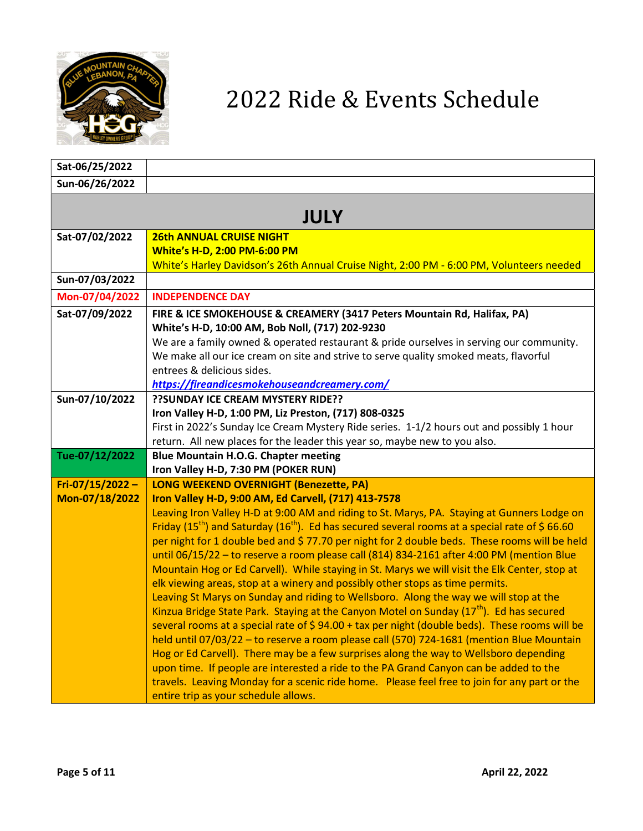

| Sat-06/25/2022  |                                                                                                                                                                                                                       |
|-----------------|-----------------------------------------------------------------------------------------------------------------------------------------------------------------------------------------------------------------------|
| Sun-06/26/2022  |                                                                                                                                                                                                                       |
|                 |                                                                                                                                                                                                                       |
|                 | <b>JULY</b>                                                                                                                                                                                                           |
| Sat-07/02/2022  | <b>26th ANNUAL CRUISE NIGHT</b>                                                                                                                                                                                       |
|                 | <b>White's H-D, 2:00 PM-6:00 PM</b>                                                                                                                                                                                   |
|                 | White's Harley Davidson's 26th Annual Cruise Night, 2:00 PM - 6:00 PM, Volunteers needed                                                                                                                              |
| Sun-07/03/2022  |                                                                                                                                                                                                                       |
| Mon-07/04/2022  | <b>INDEPENDENCE DAY</b>                                                                                                                                                                                               |
| Sat-07/09/2022  | FIRE & ICE SMOKEHOUSE & CREAMERY (3417 Peters Mountain Rd, Halifax, PA)                                                                                                                                               |
|                 | White's H-D, 10:00 AM, Bob Noll, (717) 202-9230                                                                                                                                                                       |
|                 | We are a family owned & operated restaurant & pride ourselves in serving our community.                                                                                                                               |
|                 | We make all our ice cream on site and strive to serve quality smoked meats, flavorful<br>entrees & delicious sides.                                                                                                   |
|                 | https://fireandicesmokehouseandcreamery.com/                                                                                                                                                                          |
| Sun-07/10/2022  | ?? SUNDAY ICE CREAM MYSTERY RIDE??                                                                                                                                                                                    |
|                 | Iron Valley H-D, 1:00 PM, Liz Preston, (717) 808-0325                                                                                                                                                                 |
|                 | First in 2022's Sunday Ice Cream Mystery Ride series. 1-1/2 hours out and possibly 1 hour                                                                                                                             |
|                 | return. All new places for the leader this year so, maybe new to you also.                                                                                                                                            |
| Tue-07/12/2022  | <b>Blue Mountain H.O.G. Chapter meeting</b>                                                                                                                                                                           |
|                 | Iron Valley H-D, 7:30 PM (POKER RUN)                                                                                                                                                                                  |
| Fri-07/15/2022- | <b>LONG WEEKEND OVERNIGHT (Benezette, PA)</b>                                                                                                                                                                         |
| Mon-07/18/2022  | Iron Valley H-D, 9:00 AM, Ed Carvell, (717) 413-7578                                                                                                                                                                  |
|                 | Leaving Iron Valley H-D at 9:00 AM and riding to St. Marys, PA. Staying at Gunners Lodge on<br>Friday (15 <sup>th</sup> ) and Saturday (16 <sup>th</sup> ). Ed has secured several rooms at a special rate of \$66.60 |
|                 | per night for 1 double bed and \$77.70 per night for 2 double beds. These rooms will be held                                                                                                                          |
|                 | until 06/15/22 - to reserve a room please call (814) 834-2161 after 4:00 PM (mention Blue                                                                                                                             |
|                 | Mountain Hog or Ed Carvell). While staying in St. Marys we will visit the Elk Center, stop at                                                                                                                         |
|                 | elk viewing areas, stop at a winery and possibly other stops as time permits.                                                                                                                                         |
|                 | Leaving St Marys on Sunday and riding to Wellsboro. Along the way we will stop at the                                                                                                                                 |
|                 | Kinzua Bridge State Park. Staying at the Canyon Motel on Sunday $(17th)$ . Ed has secured                                                                                                                             |
|                 | several rooms at a special rate of \$94.00 + tax per night (double beds). These rooms will be                                                                                                                         |
|                 | held until 07/03/22 - to reserve a room please call (570) 724-1681 (mention Blue Mountain                                                                                                                             |
|                 | Hog or Ed Carvell). There may be a few surprises along the way to Wellsboro depending                                                                                                                                 |
|                 | upon time. If people are interested a ride to the PA Grand Canyon can be added to the                                                                                                                                 |
|                 | travels. Leaving Monday for a scenic ride home. Please feel free to join for any part or the                                                                                                                          |
|                 | entire trip as your schedule allows.                                                                                                                                                                                  |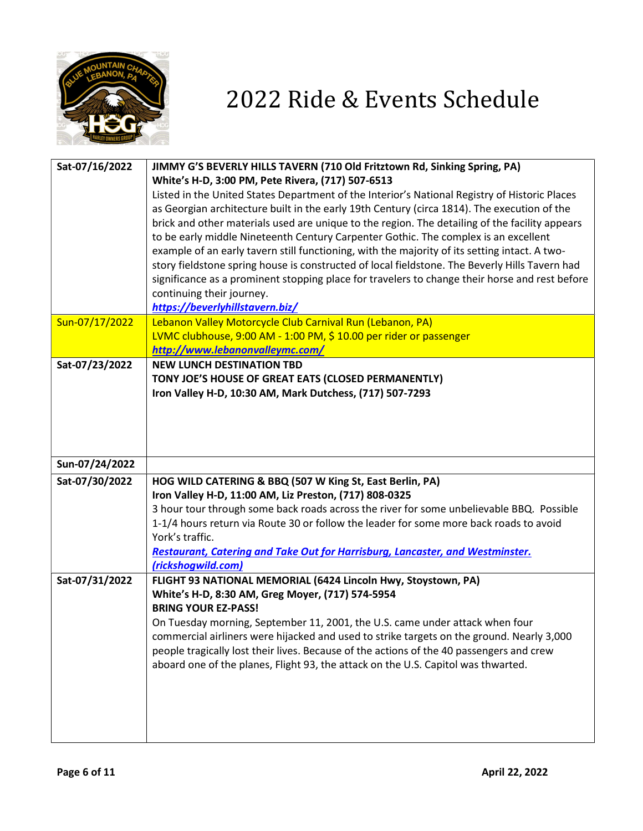

| Sat-07/16/2022 | JIMMY G'S BEVERLY HILLS TAVERN (710 Old Fritztown Rd, Sinking Spring, PA)                      |
|----------------|------------------------------------------------------------------------------------------------|
|                | White's H-D, 3:00 PM, Pete Rivera, (717) 507-6513                                              |
|                | Listed in the United States Department of the Interior's National Registry of Historic Places  |
|                | as Georgian architecture built in the early 19th Century (circa 1814). The execution of the    |
|                | brick and other materials used are unique to the region. The detailing of the facility appears |
|                | to be early middle Nineteenth Century Carpenter Gothic. The complex is an excellent            |
|                | example of an early tavern still functioning, with the majority of its setting intact. A two-  |
|                | story fieldstone spring house is constructed of local fieldstone. The Beverly Hills Tavern had |
|                | significance as a prominent stopping place for travelers to change their horse and rest before |
|                | continuing their journey.                                                                      |
| Sun-07/17/2022 | https://beverlyhillstavern.biz/<br>Lebanon Valley Motorcycle Club Carnival Run (Lebanon, PA)   |
|                | LVMC clubhouse, 9:00 AM - 1:00 PM, \$ 10.00 per rider or passenger                             |
|                | http://www.lebanonvalleymc.com/                                                                |
| Sat-07/23/2022 | <b>NEW LUNCH DESTINATION TBD</b>                                                               |
|                | TONY JOE'S HOUSE OF GREAT EATS (CLOSED PERMANENTLY)                                            |
|                | Iron Valley H-D, 10:30 AM, Mark Dutchess, (717) 507-7293                                       |
|                |                                                                                                |
|                |                                                                                                |
|                |                                                                                                |
|                |                                                                                                |
| Sun-07/24/2022 |                                                                                                |
| Sat-07/30/2022 | HOG WILD CATERING & BBQ (507 W King St, East Berlin, PA)                                       |
|                | Iron Valley H-D, 11:00 AM, Liz Preston, (717) 808-0325                                         |
|                | 3 hour tour through some back roads across the river for some unbelievable BBQ. Possible       |
|                | 1-1/4 hours return via Route 30 or follow the leader for some more back roads to avoid         |
|                |                                                                                                |
|                | York's traffic.                                                                                |
|                | <b>Restaurant, Catering and Take Out for Harrisburg, Lancaster, and Westminster.</b>           |
|                | (rickshogwild.com)                                                                             |
| Sat-07/31/2022 | FLIGHT 93 NATIONAL MEMORIAL (6424 Lincoln Hwy, Stoystown, PA)                                  |
|                | White's H-D, 8:30 AM, Greg Moyer, (717) 574-5954                                               |
|                | <b>BRING YOUR EZ-PASS!</b>                                                                     |
|                | On Tuesday morning, September 11, 2001, the U.S. came under attack when four                   |
|                | commercial airliners were hijacked and used to strike targets on the ground. Nearly 3,000      |
|                | people tragically lost their lives. Because of the actions of the 40 passengers and crew       |
|                | aboard one of the planes, Flight 93, the attack on the U.S. Capitol was thwarted.              |
|                |                                                                                                |
|                |                                                                                                |
|                |                                                                                                |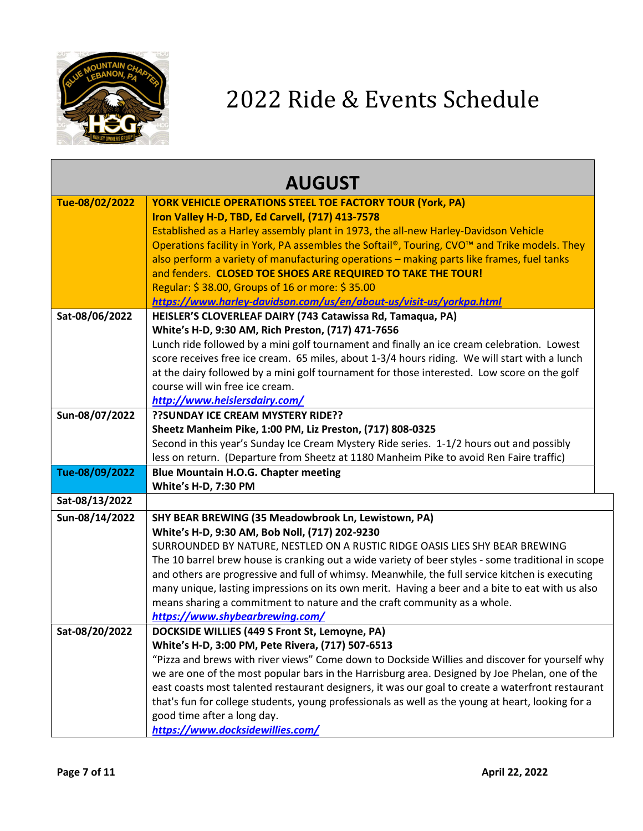

| <b>AUGUST</b>  |                                                                                                                                                                                                     |
|----------------|-----------------------------------------------------------------------------------------------------------------------------------------------------------------------------------------------------|
| Tue-08/02/2022 | <b>YORK VEHICLE OPERATIONS STEEL TOE FACTORY TOUR (York, PA)</b>                                                                                                                                    |
|                | Iron Valley H-D, TBD, Ed Carvell, (717) 413-7578                                                                                                                                                    |
|                | Established as a Harley assembly plant in 1973, the all-new Harley-Davidson Vehicle                                                                                                                 |
|                | Operations facility in York, PA assembles the Softail®, Touring, CVO™ and Trike models. They                                                                                                        |
|                | also perform a variety of manufacturing operations - making parts like frames, fuel tanks                                                                                                           |
|                | and fenders. CLOSED TOE SHOES ARE REQUIRED TO TAKE THE TOUR!                                                                                                                                        |
|                | Regular: \$38.00, Groups of 16 or more: \$35.00                                                                                                                                                     |
|                | https://www.harley-davidson.com/us/en/about-us/visit-us/yorkpa.html                                                                                                                                 |
| Sat-08/06/2022 | HEISLER'S CLOVERLEAF DAIRY (743 Catawissa Rd, Tamaqua, PA)                                                                                                                                          |
|                | White's H-D, 9:30 AM, Rich Preston, (717) 471-7656                                                                                                                                                  |
|                | Lunch ride followed by a mini golf tournament and finally an ice cream celebration. Lowest                                                                                                          |
|                | score receives free ice cream. 65 miles, about 1-3/4 hours riding. We will start with a lunch                                                                                                       |
|                | at the dairy followed by a mini golf tournament for those interested. Low score on the golf                                                                                                         |
|                | course will win free ice cream.                                                                                                                                                                     |
|                | http://www.heislersdairy.com/                                                                                                                                                                       |
| Sun-08/07/2022 | ?? SUNDAY ICE CREAM MYSTERY RIDE??                                                                                                                                                                  |
|                | Sheetz Manheim Pike, 1:00 PM, Liz Preston, (717) 808-0325                                                                                                                                           |
|                | Second in this year's Sunday Ice Cream Mystery Ride series. 1-1/2 hours out and possibly                                                                                                            |
|                | less on return. (Departure from Sheetz at 1180 Manheim Pike to avoid Ren Faire traffic)                                                                                                             |
| Tue-08/09/2022 | <b>Blue Mountain H.O.G. Chapter meeting</b>                                                                                                                                                         |
|                | White's H-D, 7:30 PM                                                                                                                                                                                |
| Sat-08/13/2022 |                                                                                                                                                                                                     |
| Sun-08/14/2022 | SHY BEAR BREWING (35 Meadowbrook Ln, Lewistown, PA)                                                                                                                                                 |
|                | White's H-D, 9:30 AM, Bob Noll, (717) 202-9230                                                                                                                                                      |
|                | SURROUNDED BY NATURE, NESTLED ON A RUSTIC RIDGE OASIS LIES SHY BEAR BREWING                                                                                                                         |
|                | The 10 barrel brew house is cranking out a wide variety of beer styles - some traditional in scope                                                                                                  |
|                | and others are progressive and full of whimsy. Meanwhile, the full service kitchen is executing                                                                                                     |
|                | many unique, lasting impressions on its own merit. Having a beer and a bite to eat with us also                                                                                                     |
|                | means sharing a commitment to nature and the craft community as a whole.                                                                                                                            |
|                | https://www.shybearbrewing.com/                                                                                                                                                                     |
| Sat-08/20/2022 | DOCKSIDE WILLIES (449 S Front St, Lemoyne, PA)                                                                                                                                                      |
|                | White's H-D, 3:00 PM, Pete Rivera, (717) 507-6513                                                                                                                                                   |
|                | "Pizza and brews with river views" Come down to Dockside Willies and discover for yourself why                                                                                                      |
|                | we are one of the most popular bars in the Harrisburg area. Designed by Joe Phelan, one of the<br>east coasts most talented restaurant designers, it was our goal to create a waterfront restaurant |
|                | that's fun for college students, young professionals as well as the young at heart, looking for a                                                                                                   |
|                | good time after a long day.                                                                                                                                                                         |
|                | https://www.docksidewillies.com/                                                                                                                                                                    |
|                |                                                                                                                                                                                                     |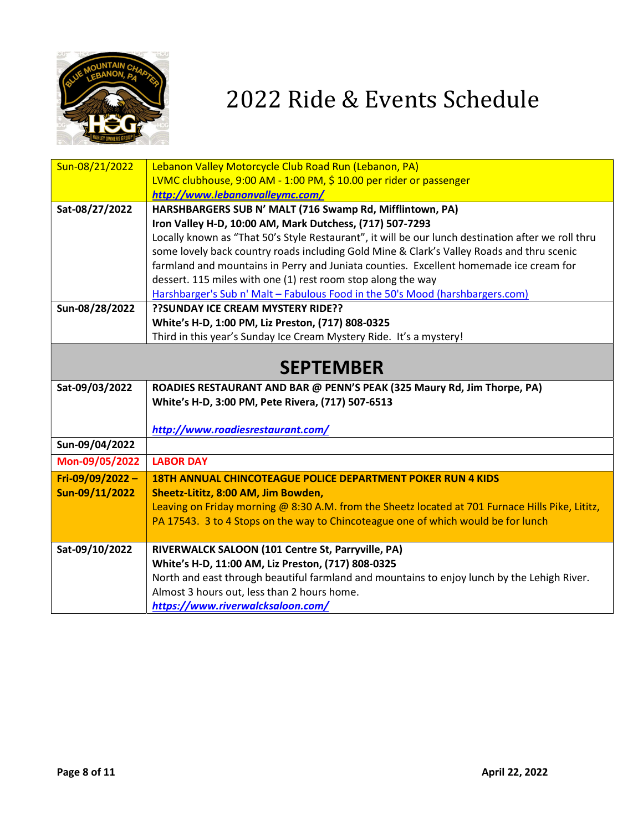

| Sun-08/21/2022  | Lebanon Valley Motorcycle Club Road Run (Lebanon, PA)                                              |
|-----------------|----------------------------------------------------------------------------------------------------|
|                 | LVMC clubhouse, 9:00 AM - 1:00 PM, \$ 10.00 per rider or passenger                                 |
|                 | http://www.lebanonvalleymc.com/                                                                    |
| Sat-08/27/2022  | HARSHBARGERS SUB N' MALT (716 Swamp Rd, Mifflintown, PA)                                           |
|                 | Iron Valley H-D, 10:00 AM, Mark Dutchess, (717) 507-7293                                           |
|                 | Locally known as "That 50's Style Restaurant", it will be our lunch destination after we roll thru |
|                 | some lovely back country roads including Gold Mine & Clark's Valley Roads and thru scenic          |
|                 | farmland and mountains in Perry and Juniata counties. Excellent homemade ice cream for             |
|                 | dessert. 115 miles with one (1) rest room stop along the way                                       |
|                 | Harshbarger's Sub n' Malt - Fabulous Food in the 50's Mood (harshbargers.com)                      |
| Sun-08/28/2022  | ?? SUNDAY ICE CREAM MYSTERY RIDE??                                                                 |
|                 | White's H-D, 1:00 PM, Liz Preston, (717) 808-0325                                                  |
|                 | Third in this year's Sunday Ice Cream Mystery Ride. It's a mystery!                                |
|                 |                                                                                                    |
|                 | <b>SEPTEMBER</b>                                                                                   |
| Sat-09/03/2022  | ROADIES RESTAURANT AND BAR @ PENN'S PEAK (325 Maury Rd, Jim Thorpe, PA)                            |
|                 | White's H-D, 3:00 PM, Pete Rivera, (717) 507-6513                                                  |
|                 |                                                                                                    |
|                 | http://www.roadiesrestaurant.com/                                                                  |
| Sun-09/04/2022  |                                                                                                    |
| Mon-09/05/2022  | <b>LABOR DAY</b>                                                                                   |
| Fri-09/09/2022- | <b>18TH ANNUAL CHINCOTEAGUE POLICE DEPARTMENT POKER RUN 4 KIDS</b>                                 |
| Sun-09/11/2022  | Sheetz-Lititz, 8:00 AM, Jim Bowden,                                                                |
|                 | Leaving on Friday morning @ 8:30 A.M. from the Sheetz located at 701 Furnace Hills Pike, Lititz,   |
|                 | PA 17543. 3 to 4 Stops on the way to Chincoteague one of which would be for lunch                  |
|                 |                                                                                                    |
| Sat-09/10/2022  | RIVERWALCK SALOON (101 Centre St, Parryville, PA)                                                  |
|                 | White's H-D, 11:00 AM, Liz Preston, (717) 808-0325                                                 |
|                 | North and east through beautiful farmland and mountains to enjoy lunch by the Lehigh River.        |
|                 | Almost 3 hours out, less than 2 hours home.                                                        |
|                 | https://www.riverwalcksaloon.com/                                                                  |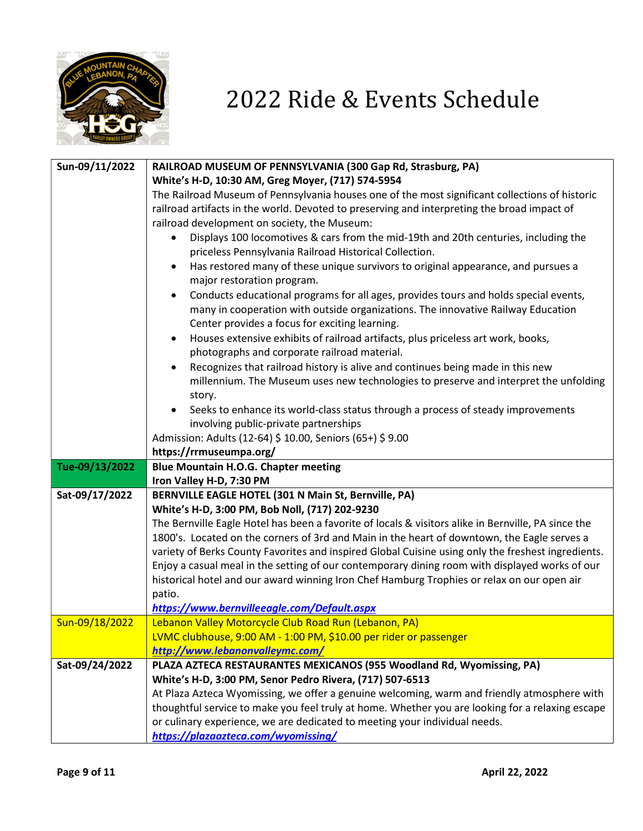

| Sun-09/11/2022 | RAILROAD MUSEUM OF PENNSYLVANIA (300 Gap Rd, Strasburg, PA)                                                                                                                                  |
|----------------|----------------------------------------------------------------------------------------------------------------------------------------------------------------------------------------------|
|                | White's H-D, 10:30 AM, Greg Moyer, (717) 574-5954                                                                                                                                            |
|                | The Railroad Museum of Pennsylvania houses one of the most significant collections of historic                                                                                               |
|                | railroad artifacts in the world. Devoted to preserving and interpreting the broad impact of                                                                                                  |
|                | railroad development on society, the Museum:                                                                                                                                                 |
|                | Displays 100 locomotives & cars from the mid-19th and 20th centuries, including the                                                                                                          |
|                | priceless Pennsylvania Railroad Historical Collection.                                                                                                                                       |
|                | Has restored many of these unique survivors to original appearance, and pursues a<br>$\bullet$                                                                                               |
|                | major restoration program.                                                                                                                                                                   |
|                | Conducts educational programs for all ages, provides tours and holds special events,<br>٠                                                                                                    |
|                | many in cooperation with outside organizations. The innovative Railway Education                                                                                                             |
|                | Center provides a focus for exciting learning.                                                                                                                                               |
|                | Houses extensive exhibits of railroad artifacts, plus priceless art work, books,<br>$\bullet$                                                                                                |
|                | photographs and corporate railroad material.                                                                                                                                                 |
|                | Recognizes that railroad history is alive and continues being made in this new<br>$\bullet$                                                                                                  |
|                | millennium. The Museum uses new technologies to preserve and interpret the unfolding                                                                                                         |
|                | story.                                                                                                                                                                                       |
|                | Seeks to enhance its world-class status through a process of steady improvements                                                                                                             |
|                | involving public-private partnerships                                                                                                                                                        |
|                | Admission: Adults (12-64) \$ 10.00, Seniors (65+) \$ 9.00                                                                                                                                    |
|                | https://rrmuseumpa.org/                                                                                                                                                                      |
| Tue-09/13/2022 | <b>Blue Mountain H.O.G. Chapter meeting</b>                                                                                                                                                  |
|                | Iron Valley H-D, 7:30 PM                                                                                                                                                                     |
| Sat-09/17/2022 | BERNVILLE EAGLE HOTEL (301 N Main St, Bernville, PA)                                                                                                                                         |
|                | White's H-D, 3:00 PM, Bob Noll, (717) 202-9230                                                                                                                                               |
|                | The Bernville Eagle Hotel has been a favorite of locals & visitors alike in Bernville, PA since the                                                                                          |
|                | 1800's. Located on the corners of 3rd and Main in the heart of downtown, the Eagle serves a                                                                                                  |
|                | variety of Berks County Favorites and inspired Global Cuisine using only the freshest ingredients.                                                                                           |
|                | Enjoy a casual meal in the setting of our contemporary dining room with displayed works of our<br>historical hotel and our award winning Iron Chef Hamburg Trophies or relax on our open air |
|                | patio.                                                                                                                                                                                       |
|                | https://www.bernvilleeagle.com/Default.aspx                                                                                                                                                  |
| Sun-09/18/2022 | Lebanon Valley Motorcycle Club Road Run (Lebanon, PA)                                                                                                                                        |
|                | LVMC clubhouse, 9:00 AM - 1:00 PM, \$10.00 per rider or passenger                                                                                                                            |
|                | http://www.lebanonvalleymc.com/                                                                                                                                                              |
| Sat-09/24/2022 | PLAZA AZTECA RESTAURANTES MEXICANOS (955 Woodland Rd, Wyomissing, PA)                                                                                                                        |
|                | White's H-D, 3:00 PM, Senor Pedro Rivera, (717) 507-6513                                                                                                                                     |
|                | At Plaza Azteca Wyomissing, we offer a genuine welcoming, warm and friendly atmosphere with                                                                                                  |
|                | thoughtful service to make you feel truly at home. Whether you are looking for a relaxing escape                                                                                             |
|                | or culinary experience, we are dedicated to meeting your individual needs.                                                                                                                   |
|                | https://plazaazteca.com/wyomissing/                                                                                                                                                          |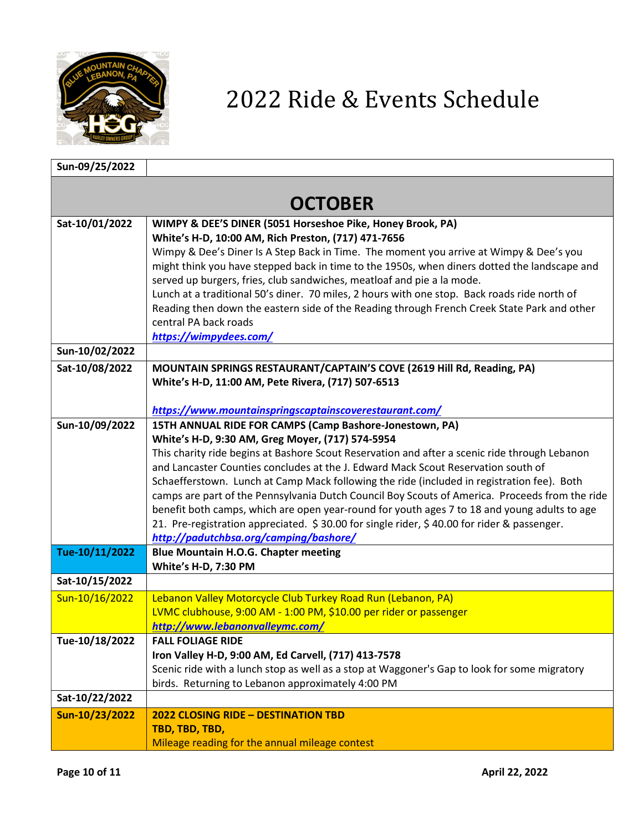

| Sun-09/25/2022 |                                                                                                                                                                                              |  |
|----------------|----------------------------------------------------------------------------------------------------------------------------------------------------------------------------------------------|--|
|                |                                                                                                                                                                                              |  |
|                | <b>OCTOBER</b>                                                                                                                                                                               |  |
| Sat-10/01/2022 | WIMPY & DEE'S DINER (5051 Horseshoe Pike, Honey Brook, PA)                                                                                                                                   |  |
|                | White's H-D, 10:00 AM, Rich Preston, (717) 471-7656                                                                                                                                          |  |
|                | Wimpy & Dee's Diner Is A Step Back in Time. The moment you arrive at Wimpy & Dee's you                                                                                                       |  |
|                | might think you have stepped back in time to the 1950s, when diners dotted the landscape and                                                                                                 |  |
|                | served up burgers, fries, club sandwiches, meatloaf and pie a la mode.                                                                                                                       |  |
|                | Lunch at a traditional 50's diner. 70 miles, 2 hours with one stop. Back roads ride north of                                                                                                 |  |
|                | Reading then down the eastern side of the Reading through French Creek State Park and other<br>central PA back roads                                                                         |  |
|                | https://wimpydees.com/                                                                                                                                                                       |  |
| Sun-10/02/2022 |                                                                                                                                                                                              |  |
| Sat-10/08/2022 | MOUNTAIN SPRINGS RESTAURANT/CAPTAIN'S COVE (2619 Hill Rd, Reading, PA)                                                                                                                       |  |
|                | White's H-D, 11:00 AM, Pete Rivera, (717) 507-6513                                                                                                                                           |  |
|                |                                                                                                                                                                                              |  |
|                | https://www.mountainspringscaptainscoverestaurant.com/                                                                                                                                       |  |
| Sun-10/09/2022 | 15TH ANNUAL RIDE FOR CAMPS (Camp Bashore-Jonestown, PA)                                                                                                                                      |  |
|                | White's H-D, 9:30 AM, Greg Moyer, (717) 574-5954                                                                                                                                             |  |
|                | This charity ride begins at Bashore Scout Reservation and after a scenic ride through Lebanon                                                                                                |  |
|                | and Lancaster Counties concludes at the J. Edward Mack Scout Reservation south of                                                                                                            |  |
|                | Schaefferstown. Lunch at Camp Mack following the ride (included in registration fee). Both<br>camps are part of the Pennsylvania Dutch Council Boy Scouts of America. Proceeds from the ride |  |
|                | benefit both camps, which are open year-round for youth ages 7 to 18 and young adults to age                                                                                                 |  |
|                | 21. Pre-registration appreciated. \$30.00 for single rider, \$40.00 for rider & passenger.                                                                                                   |  |
|                | http://padutchbsa.org/camping/bashore/                                                                                                                                                       |  |
| Tue-10/11/2022 | <b>Blue Mountain H.O.G. Chapter meeting</b>                                                                                                                                                  |  |
|                | White's H-D, 7:30 PM                                                                                                                                                                         |  |
| Sat-10/15/2022 |                                                                                                                                                                                              |  |
| Sun-10/16/2022 | Lebanon Valley Motorcycle Club Turkey Road Run (Lebanon, PA)                                                                                                                                 |  |
|                | LVMC clubhouse, 9:00 AM - 1:00 PM, \$10.00 per rider or passenger                                                                                                                            |  |
|                | http://www.lebanonvalleymc.com/                                                                                                                                                              |  |
| Tue-10/18/2022 | <b>FALL FOLIAGE RIDE</b><br>Iron Valley H-D, 9:00 AM, Ed Carvell, (717) 413-7578                                                                                                             |  |
|                | Scenic ride with a lunch stop as well as a stop at Waggoner's Gap to look for some migratory                                                                                                 |  |
|                | birds. Returning to Lebanon approximately 4:00 PM                                                                                                                                            |  |
| Sat-10/22/2022 |                                                                                                                                                                                              |  |
| Sun-10/23/2022 | <b>2022 CLOSING RIDE - DESTINATION TBD</b>                                                                                                                                                   |  |
|                | TBD, TBD, TBD,                                                                                                                                                                               |  |
|                | Mileage reading for the annual mileage contest                                                                                                                                               |  |